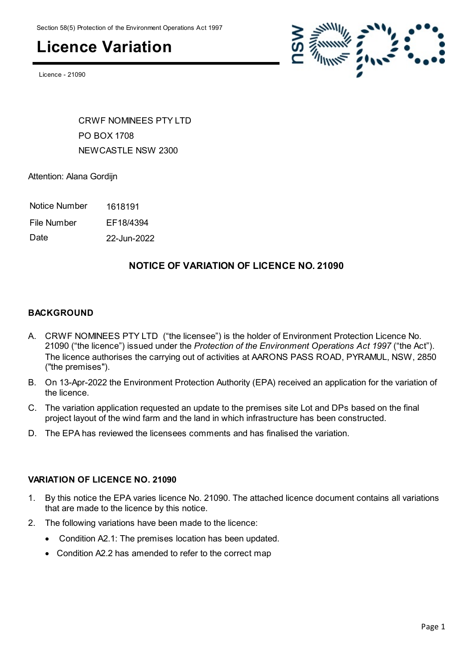## **Licence Variation**

Licence - 21090



CRWE NOMINEES PTY LTD PO BOX 1708 NEWCASTLE NSW 2300

Attention: Alana Gordijn

- Notice Number 1618191
- File Number EF18/4394

Date 22-Jun-2022

#### **NOTICE OF VARIATION OF LICENCE NO. 21090**

#### **BACKGROUND**

- A. CRWF NOMINEES PTY LTD ("the licensee") is the holder of Environment Protection Licence No. 21090 ("the licence") issued under the *Protection of the Environment Operations Act 1997* ("the Act"). The licence authorises the carrying out of activities at AARONS PASS ROAD, PYRAMUL, NSW, 2850 ("the premises").
- B. On 13-Apr-2022 the Environment Protection Authority (EPA) received an application for the variation of the licence.
- C. The variation application requested an update to the premises site Lot and DPs based on the final project layout of the wind farm and the land in which infrastructure has been constructed.
- D. The EPA has reviewed the licensees comments and has finalised the variation.

#### **VARIATION OF LICENCE NO. 21090**

- 1. By this notice the EPA varies licence No. 21090. The attached licence document contains all variations that are made to the licence by this notice.
- 2. The following variations have been made to the licence:
	- Condition A2.1: The premises location has been updated.
	- Condition A2.2 has amended to refer to the correct map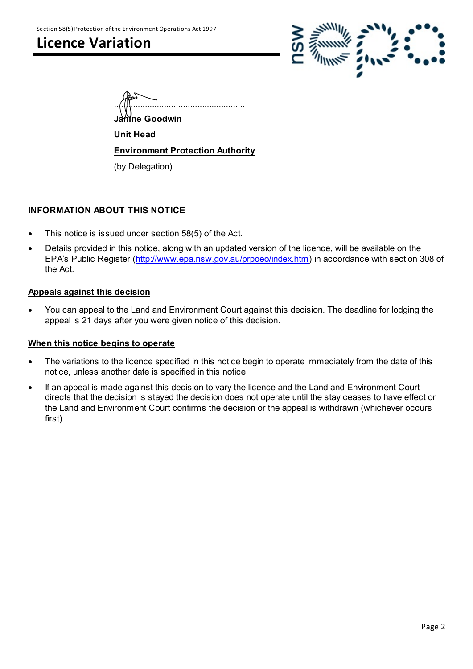## **Licence Variation**



| . . |  |  |  |
|-----|--|--|--|

**Janine Goodwin**

**Unit Head**

**Environment Protection Authority**

(by Delegation)

#### **INFORMATION ABOUT THIS NOTICE**

- This notice is issued under section 58(5) of the Act.
- Details provided in this notice, along with an updated version of the licence, will be available on the EPA's Public Register [\(http://www.epa.nsw.gov.au/prpoeo/index.htm](http://www.environment.nsw.gov.au/prpoeo/index.htm)) in accordance with section 308 of the Act.

#### **Appeals against this decision**

 You can appeal to the Land and Environment Court against this decision. The deadline for lodging the appeal is 21 days after you were given notice of this decision.

#### **When this notice begins to operate**

- The variations to the licence specified in this notice begin to operate immediately from the date of this notice, unless another date is specified in this notice.
- If an appeal is made against this decision to vary the licence and the Land and Environment Court directs that the decision is stayed the decision does not operate until the stay ceases to have effect or the Land and Environment Court confirms the decision or the appeal is withdrawn (whichever occurs first).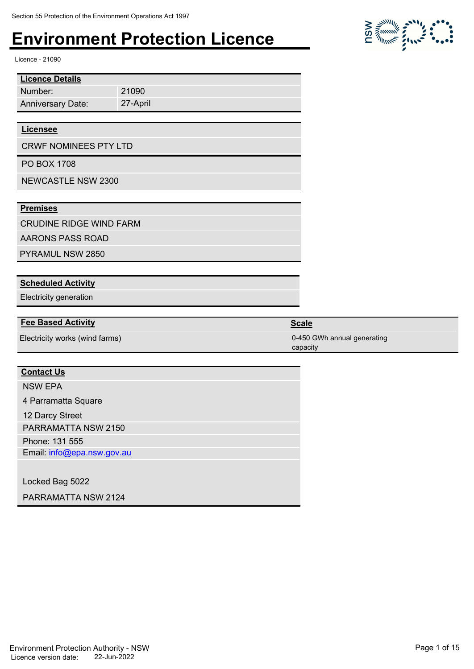21090 27-April

Licence - 21090

| <b>Licence Details</b>   |  |
|--------------------------|--|
| Number:                  |  |
| <b>Anniversary Date:</b> |  |

#### **Licensee**

CRWF NOMINEES PTY LTD

PO BOX 1708

NEWCASTLE NSW 2300

#### **Premises**

CRUDINE RIDGE WIND FARM

AARONS PASS ROAD

PYRAMUL NSW 2850

#### **Scheduled Activity**

Electricity generation

#### **Fee Based Activity Scale Scale Scale Scale**

Electricity works (wind farms) 0-450 GWh annual generating

#### **Contact Us**

NSW EPA

4 Parramatta Square

12 Darcy Street

PARRAMATTA NSW 2150

Phone: 131 555

Email: info@epa.nsw.gov.au

Locked Bag 5022

PARRAMATTA NSW 2124



capacity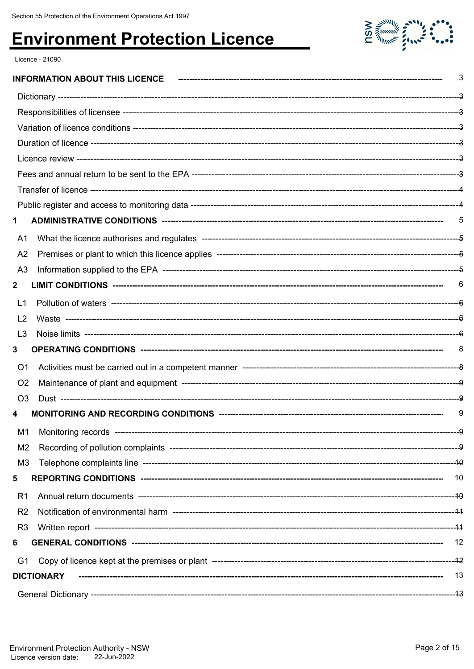

Licence - 21090

|                |                   | 3  |
|----------------|-------------------|----|
|                |                   |    |
|                |                   |    |
|                |                   |    |
|                |                   |    |
|                |                   |    |
|                |                   |    |
|                |                   |    |
|                |                   |    |
| 1              |                   |    |
| A1             |                   |    |
| A <sub>2</sub> |                   |    |
| A <sub>3</sub> |                   |    |
| $\mathbf{2}$   |                   | 6  |
| L1             |                   |    |
| L <sub>2</sub> |                   |    |
| L3             |                   |    |
| 3              |                   | 8  |
| O <sub>1</sub> |                   |    |
| O <sub>2</sub> |                   |    |
| O <sub>3</sub> |                   |    |
|                |                   | 9  |
| M <sub>1</sub> |                   |    |
| M <sub>2</sub> |                   |    |
| M <sub>3</sub> |                   |    |
| 5              |                   | 10 |
| R <sub>1</sub> |                   |    |
| R <sub>2</sub> |                   |    |
| R <sub>3</sub> |                   |    |
| 6              |                   |    |
| G1             |                   |    |
|                | <b>DICTIONARY</b> | 13 |
|                |                   |    |
|                |                   |    |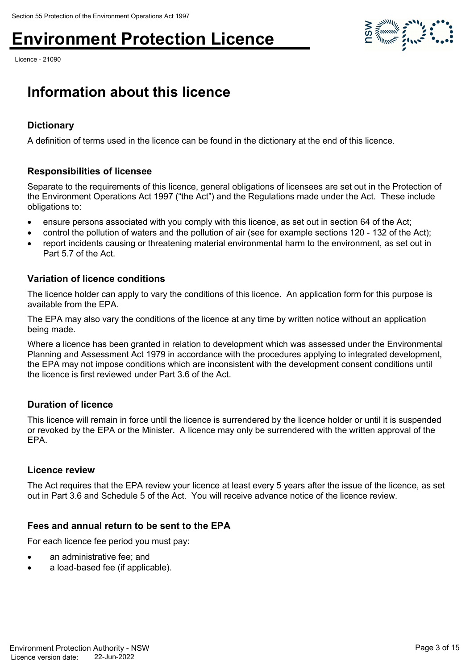Licence - 21090



## **Information about this licence**

#### **Dictionary**

A definition of terms used in the licence can be found in the dictionary at the end of this licence.

#### **Responsibilities of licensee**

Separate to the requirements of this licence, general obligations of licensees are set out in the Protection of the Environment Operations Act 1997 ("the Act") and the Regulations made under the Act. These include obligations to:

- ensure persons associated with you comply with this licence, as set out in section 64 of the Act;
- control the pollution of waters and the pollution of air (see for example sections 120 132 of the Act);
- report incidents causing or threatening material environmental harm to the environment, as set out in Part 5.7 of the Act.

#### **Variation of licence conditions**

The licence holder can apply to vary the conditions of this licence. An application form for this purpose is available from the EPA.

The EPA may also vary the conditions of the licence at any time by written notice without an application being made.

Where a licence has been granted in relation to development which was assessed under the Environmental Planning and Assessment Act 1979 in accordance with the procedures applying to integrated development, the EPA may not impose conditions which are inconsistent with the development consent conditions until the licence is first reviewed under Part 3.6 of the Act.

#### **Duration of licence**

This licence will remain in force until the licence is surrendered by the licence holder or until it is suspended or revoked by the EPA or the Minister. A licence may only be surrendered with the written approval of the EPA.

#### **Licence review**

The Act requires that the EPA review your licence at least every 5 years after the issue of the licence, as set out in Part 3.6 and Schedule 5 of the Act. You will receive advance notice of the licence review.

#### **Fees and annual return to be sent to the EPA**

For each licence fee period you must pay:

- an administrative fee; and
- a load-based fee (if applicable).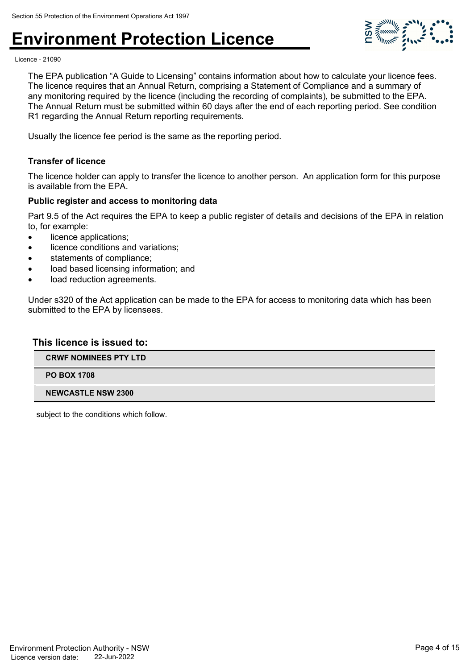

Licence - 21090

The EPA publication "A Guide to Licensing" contains information about how to calculate your licence fees. The licence requires that an Annual Return, comprising a Statement of Compliance and a summary of any monitoring required by the licence (including the recording of complaints), be submitted to the EPA. The Annual Return must be submitted within 60 days after the end of each reporting period. See condition R1 regarding the Annual Return reporting requirements.

Usually the licence fee period is the same as the reporting period.

#### **Transfer of licence**

The licence holder can apply to transfer the licence to another person. An application form for this purpose is available from the EPA.

#### **Public register and access to monitoring data**

Part 9.5 of the Act requires the EPA to keep a public register of details and decisions of the EPA in relation to, for example:

- licence applications:
- licence conditions and variations;
- statements of compliance;
- load based licensing information; and
- load reduction agreements.

Under s320 of the Act application can be made to the EPA for access to monitoring data which has been submitted to the EPA by licensees.

#### **This licence is issued to:**

**CRWF NOMINEES PTY LTD**

**PO BOX 1708**

#### **NEWCASTLE NSW 2300**

subject to the conditions which follow.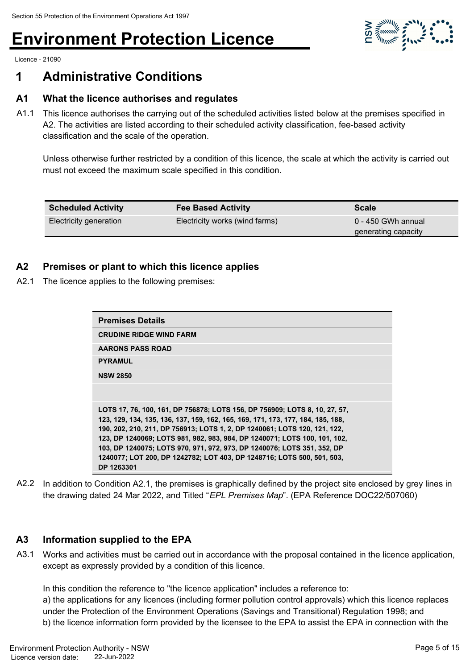

Licence - 21090

## **1 Administrative Conditions**

#### **A1 What the licence authorises and regulates**

A1.1 This licence authorises the carrying out of the scheduled activities listed below at the premises specified in A2. The activities are listed according to their scheduled activity classification, fee-based activity classification and the scale of the operation.

Unless otherwise further restricted by a condition of this licence, the scale at which the activity is carried out must not exceed the maximum scale specified in this condition.

| <b>Scheduled Activity</b> | <b>Fee Based Activity</b>      | <b>Scale</b>        |
|---------------------------|--------------------------------|---------------------|
| Electricity generation    | Electricity works (wind farms) | 0 - 450 GWh annual  |
|                           |                                | generating capacity |

#### **A2 Premises or plant to which this licence applies**

A2.1 The licence applies to the following premises:

| <b>Premises Details</b>                                                                                                                                                                                                                                                                                                 |
|-------------------------------------------------------------------------------------------------------------------------------------------------------------------------------------------------------------------------------------------------------------------------------------------------------------------------|
| <b>CRUDINE RIDGE WIND FARM</b>                                                                                                                                                                                                                                                                                          |
| <b>AARONS PASS ROAD</b>                                                                                                                                                                                                                                                                                                 |
| <b>PYRAMUL</b>                                                                                                                                                                                                                                                                                                          |
| <b>NSW 2850</b>                                                                                                                                                                                                                                                                                                         |
|                                                                                                                                                                                                                                                                                                                         |
|                                                                                                                                                                                                                                                                                                                         |
| LOTS 17, 76, 100, 161, DP 756878; LOTS 156, DP 756909; LOTS 8, 10, 27, 57,<br>123, 129, 134, 135, 136, 137, 159, 162, 165, 169, 171, 173, 177, 184, 185, 188,<br>190, 202, 210, 211, DP 756913; LOTS 1, 2, DP 1240061; LOTS 120, 121, 122,<br>123, DP 1240069; LOTS 981, 982, 983, 984, DP 1240071; LOTS 100, 101, 102, |
| 103, DP 1240075; LOTS 970, 971, 972, 973, DP 1240076; LOTS 351, 352, DP<br>1240077; LOT 200, DP 1242782; LOT 403, DP 1248716; LOTS 500, 501, 503,<br>DP 1263301                                                                                                                                                         |
|                                                                                                                                                                                                                                                                                                                         |

A2.2 In addition to Condition A2.1, the premises is graphically defined by the project site enclosed by grey lines in the drawing dated 24 Mar 2022, and Titled "*EPL Premises Map*". (EPA Reference DOC22/507060)

#### **A3 Information supplied to the EPA**

A3.1 Works and activities must be carried out in accordance with the proposal contained in the licence application, except as expressly provided by a condition of this licence.

In this condition the reference to "the licence application" includes a reference to:

a) the applications for any licences (including former pollution control approvals) which this licence replaces under the Protection of the Environment Operations (Savings and Transitional) Regulation 1998; and b) the licence information form provided by the licensee to the EPA to assist the EPA in connection with the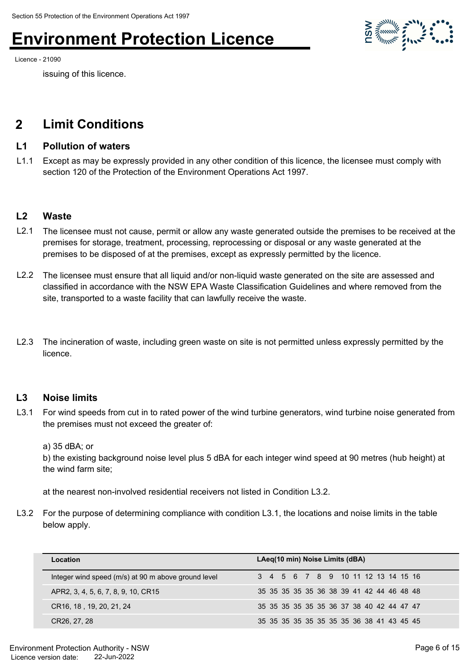Licence - 21090

issuing of this licence.

## **2 Limit Conditions**

#### **L1 Pollution of waters**

L1.1 Except as may be expressly provided in any other condition of this licence, the licensee must comply with section 120 of the Protection of the Environment Operations Act 1997.

#### **L2 Waste**

- L2.1 The licensee must not cause, permit or allow any waste generated outside the premises to be received at the premises for storage, treatment, processing, reprocessing or disposal or any waste generated at the premises to be disposed of at the premises, except as expressly permitted by the licence.
- L2.2 The licensee must ensure that all liquid and/or non-liquid waste generated on the site are assessed and classified in accordance with the NSW EPA Waste Classification Guidelines and where removed from the site, transported to a waste facility that can lawfully receive the waste.
- L2.3 The incineration of waste, including green waste on site is not permitted unless expressly permitted by the licence.

#### **L3 Noise limits**

L3.1 For wind speeds from cut in to rated power of the wind turbine generators, wind turbine noise generated from the premises must not exceed the greater of:

a) 35 dBA; or

b) the existing background noise level plus 5 dBA for each integer wind speed at 90 metres (hub height) at the wind farm site;

at the nearest non-involved residential receivers not listed in Condition L3.2.

L3.2 For the purpose of determining compliance with condition L3.1, the locations and noise limits in the table below apply.

| Location                                            | LAeg(10 min) Noise Limits (dBA)              |
|-----------------------------------------------------|----------------------------------------------|
| Integer wind speed (m/s) at 90 m above ground level | 3 4 5 6 7 8 9 10 11 12 13 14 15 16           |
| APR2, 3, 4, 5, 6, 7, 8, 9, 10, CR15                 | 35 35 35 35 35 36 38 39 41 42 44 46 48 48    |
| CR16, 18, 19, 20, 21, 24                            | 35 35 35 35 35 35 36 37 38 40 42 44 47 47    |
| CR26, 27, 28                                        | 35 35 35 35 35 35 35 35 36 36 38 41 43 45 45 |

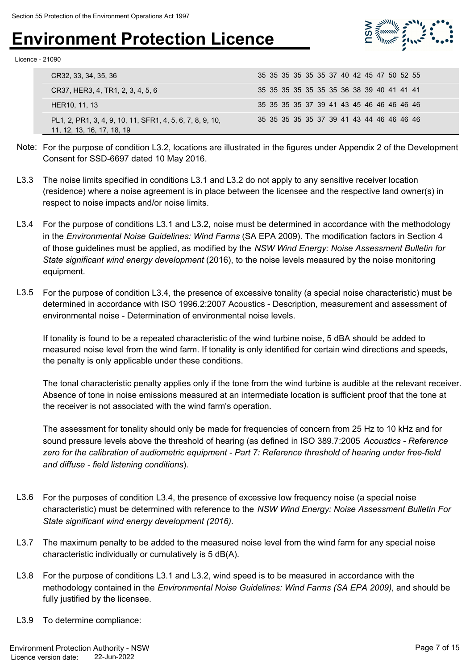

Licence - 21090

| CR32, 33, 34, 35, 36                                                                    | 35 35 35 35 35 35 37 40 42 45 47 50 52 55 |
|-----------------------------------------------------------------------------------------|-------------------------------------------|
| CR37, HER3, 4, TR1, 2, 3, 4, 5, 6                                                       | 35 35 35 35 35 35 35 36 38 39 40 41 41 41 |
| HER10, 11, 13                                                                           | 35 35 35 35 37 39 41 43 45 46 46 46 46 46 |
| PL1, 2, PR1, 3, 4, 9, 10, 11, SFR1, 4, 5, 6, 7, 8, 9, 10,<br>11, 12, 13, 16, 17, 18, 19 | 35 35 35 35 35 37 39 41 43 44 46 46 46 46 |

- Note: For the purpose of condition L3.2, locations are illustrated in the figures under Appendix 2 of the Development Consent for SSD-6697 dated 10 May 2016.
- L3.3 The noise limits specified in conditions L3.1 and L3.2 do not apply to any sensitive receiver location (residence) where a noise agreement is in place between the licensee and the respective land owner(s) in respect to noise impacts and/or noise limits.
- L3.4 For the purpose of conditions L3.1 and L3.2, noise must be determined in accordance with the methodology in the *Environmental Noise Guidelines: Wind Farms* (SA EPA 2009). The modification factors in Section 4 of those guidelines must be applied, as modified by the *NSW Wind Energy: Noise Assessment Bulletin for State significant wind energy development* (2016), to the noise levels measured by the noise monitoring equipment.
- L3.5 For the purpose of condition L3.4, the presence of excessive tonality (a special noise characteristic) must be determined in accordance with ISO 1996.2:2007 Acoustics - Description, measurement and assessment of environmental noise - Determination of environmental noise levels.

If tonality is found to be a repeated characteristic of the wind turbine noise, 5 dBA should be added to measured noise level from the wind farm. If tonality is only identified for certain wind directions and speeds, the penalty is only applicable under these conditions.

The tonal characteristic penalty applies only if the tone from the wind turbine is audible at the relevant receiver. Absence of tone in noise emissions measured at an intermediate location is sufficient proof that the tone at the receiver is not associated with the wind farm's operation.

The assessment for tonality should only be made for frequencies of concern from 25 Hz to 10 kHz and for sound pressure levels above the threshold of hearing (as defined in ISO 389.7:2005 *Acoustics - Reference zero for the calibration of audiometric equipment - Part 7: Reference threshold of hearing under free-field and diffuse - field listening conditions*).

- L3.6 For the purposes of condition L3.4, the presence of excessive low frequency noise (a special noise characteristic) must be determined with reference to the *NSW Wind Energy: Noise Assessment Bulletin For State significant wind energy development (2016)*.
- L3.7 The maximum penalty to be added to the measured noise level from the wind farm for any special noise characteristic individually or cumulatively is 5 dB(A).
- L3.8 For the purpose of conditions L3.1 and L3.2, wind speed is to be measured in accordance with the methodology contained in the *Environmental Noise Guidelines: Wind Farms (SA EPA 2009),* and should be fully justified by the licensee.
- L3.9 To determine compliance: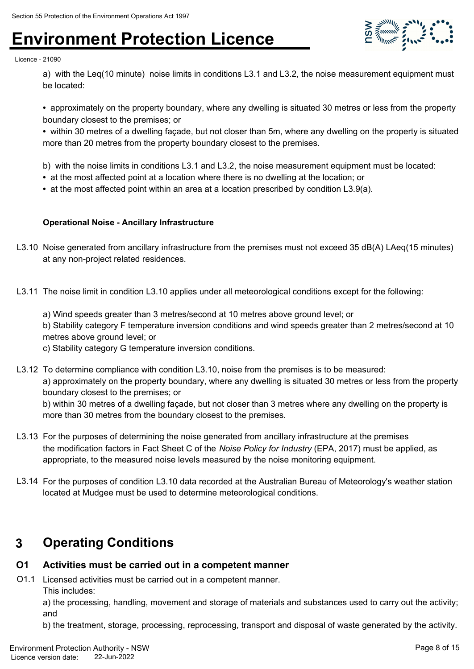

Licence - 21090

a) with the Leq(10 minute) noise limits in conditions L3.1 and L3.2, the noise measurement equipment must be located:

**•** approximately on the property boundary, where any dwelling is situated 30 metres or less from the property boundary closest to the premises; or

**•** within 30 metres of a dwelling façade, but not closer than 5m, where any dwelling on the property is situated more than 20 metres from the property boundary closest to the premises.

- b) with the noise limits in conditions L3.1 and L3.2, the noise measurement equipment must be located:
- at the most affected point at a location where there is no dwelling at the location; or
- at the most affected point within an area at a location prescribed by condition L3.9(a).

#### **Operational Noise - Ancillary Infrastructure**

- L3.10 Noise generated from ancillary infrastructure from the premises must not exceed 35 dB(A) LAeq(15 minutes) at any non-project related residences.
- L3.11 The noise limit in condition L3.10 applies under all meteorological conditions except for the following:
	- a) Wind speeds greater than 3 metres/second at 10 metres above ground level; or

b) Stability category F temperature inversion conditions and wind speeds greater than 2 metres/second at 10 metres above ground level; or

c) Stability category G temperature inversion conditions.

L3.12 To determine compliance with condition L3.10, noise from the premises is to be measured: a) approximately on the property boundary, where any dwelling is situated 30 metres or less from the property boundary closest to the premises; or b) within 30 metres of a dwelling façade, but not closer than 3 metres where any dwelling on the property is more than 30 metres from the boundary closest to the premises.

- L3.13 For the purposes of determining the noise generated from ancillary infrastructure at the premises the modification factors in Fact Sheet C of the *Noise Policy for Industry* (EPA, 2017) must be applied, as appropriate, to the measured noise levels measured by the noise monitoring equipment.
- L3.14 For the purposes of condition L3.10 data recorded at the Australian Bureau of Meteorology's weather station located at Mudgee must be used to determine meteorological conditions.

## **3 Operating Conditions**

#### **O1 Activities must be carried out in a competent manner**

O1.1 Licensed activities must be carried out in a competent manner. This includes:

a) the processing, handling, movement and storage of materials and substances used to carry out the activity; and

b) the treatment, storage, processing, reprocessing, transport and disposal of waste generated by the activity.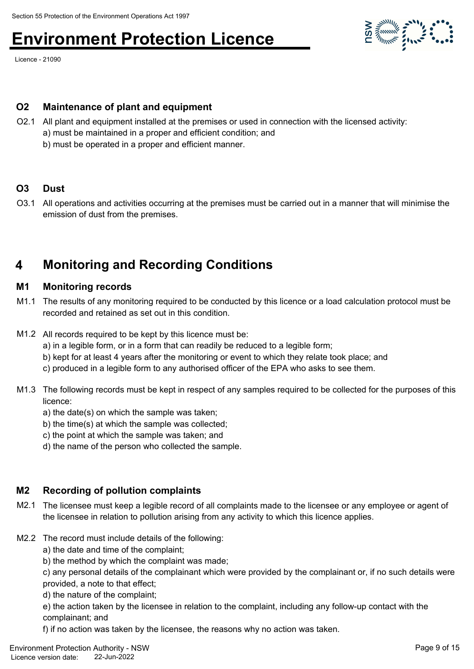Licence - 21090



#### **O2 Maintenance of plant and equipment**

- O2.1 All plant and equipment installed at the premises or used in connection with the licensed activity: a) must be maintained in a proper and efficient condition; and
	- b) must be operated in a proper and efficient manner.

#### **O3 Dust**

O3.1 All operations and activities occurring at the premises must be carried out in a manner that will minimise the emission of dust from the premises.

## **4 Monitoring and Recording Conditions**

#### **M1 Monitoring records**

- M1.1 The results of any monitoring required to be conducted by this licence or a load calculation protocol must be recorded and retained as set out in this condition.
- M1.2 All records required to be kept by this licence must be:
	- a) in a legible form, or in a form that can readily be reduced to a legible form;
	- b) kept for at least 4 years after the monitoring or event to which they relate took place; and
	- c) produced in a legible form to any authorised officer of the EPA who asks to see them.
- M1.3 The following records must be kept in respect of any samples required to be collected for the purposes of this licence:
	- a) the date(s) on which the sample was taken;
	- b) the time(s) at which the sample was collected;
	- c) the point at which the sample was taken; and
	- d) the name of the person who collected the sample.

#### **M2 Recording of pollution complaints**

- M2.1 The licensee must keep a legible record of all complaints made to the licensee or any employee or agent of the licensee in relation to pollution arising from any activity to which this licence applies.
- M2.2 The record must include details of the following:
	- a) the date and time of the complaint;
	- b) the method by which the complaint was made;
	- c) any personal details of the complainant which were provided by the complainant or, if no such details were provided, a note to that effect;
	- d) the nature of the complaint;

e) the action taken by the licensee in relation to the complaint, including any follow-up contact with the complainant; and

f) if no action was taken by the licensee, the reasons why no action was taken.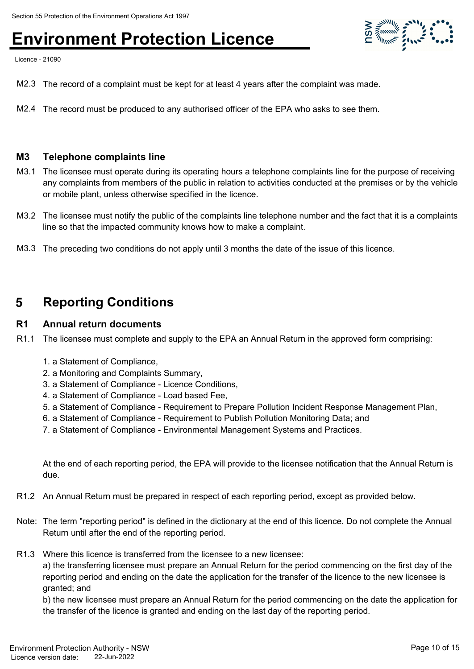Licence - 21090

- M2.3 The record of a complaint must be kept for at least 4 years after the complaint was made.
- M2.4 The record must be produced to any authorised officer of the EPA who asks to see them.

#### **M3 Telephone complaints line**

- M3.1 The licensee must operate during its operating hours a telephone complaints line for the purpose of receiving any complaints from members of the public in relation to activities conducted at the premises or by the vehicle or mobile plant, unless otherwise specified in the licence.
- M3.2 The licensee must notify the public of the complaints line telephone number and the fact that it is a complaints line so that the impacted community knows how to make a complaint.
- M3.3 The preceding two conditions do not apply until 3 months the date of the issue of this licence.

### **5 Reporting Conditions**

#### **R1 Annual return documents**

- R1.1 The licensee must complete and supply to the EPA an Annual Return in the approved form comprising:
	- 1. a Statement of Compliance,
	- 2. a Monitoring and Complaints Summary,
	- 3. a Statement of Compliance Licence Conditions,
	- 4. a Statement of Compliance Load based Fee,
	- 5. a Statement of Compliance Requirement to Prepare Pollution Incident Response Management Plan,
	- 6. a Statement of Compliance Requirement to Publish Pollution Monitoring Data; and
	- 7. a Statement of Compliance Environmental Management Systems and Practices.

At the end of each reporting period, the EPA will provide to the licensee notification that the Annual Return is due.

- R1.2 An Annual Return must be prepared in respect of each reporting period, except as provided below.
- Note: The term "reporting period" is defined in the dictionary at the end of this licence. Do not complete the Annual Return until after the end of the reporting period.
- R1.3 Where this licence is transferred from the licensee to a new licensee:

a) the transferring licensee must prepare an Annual Return for the period commencing on the first day of the reporting period and ending on the date the application for the transfer of the licence to the new licensee is granted; and

b) the new licensee must prepare an Annual Return for the period commencing on the date the application for the transfer of the licence is granted and ending on the last day of the reporting period.

 $\sum_{n=1}^{\infty} \frac{1}{n^2} \sum_{n=1}^{\infty} \frac{1}{n^2} \sum_{n=1}^{\infty} \frac{1}{n^2} \sum_{n=1}^{\infty} \frac{1}{n^2} \sum_{n=1}^{\infty} \frac{1}{n^2} \sum_{n=1}^{\infty} \frac{1}{n^2} \sum_{n=1}^{\infty} \frac{1}{n^2} \sum_{n=1}^{\infty} \frac{1}{n^2} \sum_{n=1}^{\infty} \frac{1}{n^2} \sum_{n=1}^{\infty} \frac{1}{n^2} \sum_{n=1}^{\in$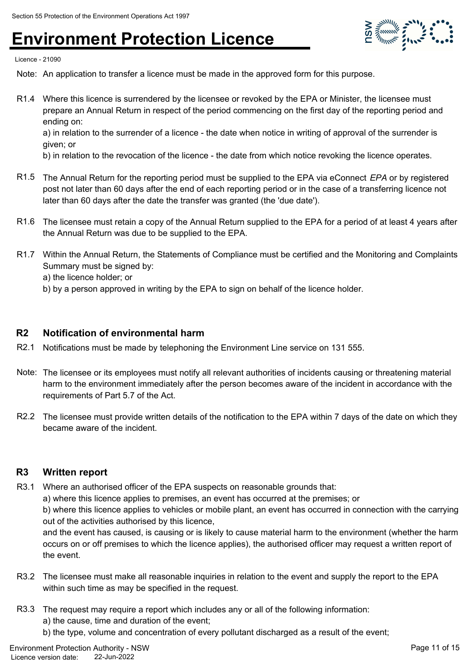

Licence - 21090

Note: An application to transfer a licence must be made in the approved form for this purpose.

R1.4 Where this licence is surrendered by the licensee or revoked by the EPA or Minister, the licensee must prepare an Annual Return in respect of the period commencing on the first day of the reporting period and ending on:

a) in relation to the surrender of a licence - the date when notice in writing of approval of the surrender is given; or

b) in relation to the revocation of the licence - the date from which notice revoking the licence operates.

- R1.5 The Annual Return for the reporting period must be supplied to the EPA via eConnect *EPA* or by registered post not later than 60 days after the end of each reporting period or in the case of a transferring licence not later than 60 days after the date the transfer was granted (the 'due date').
- R1.6 The licensee must retain a copy of the Annual Return supplied to the EPA for a period of at least 4 years after the Annual Return was due to be supplied to the EPA.
- R1.7 Within the Annual Return, the Statements of Compliance must be certified and the Monitoring and Complaints Summary must be signed by:

a) the licence holder; or

b) by a person approved in writing by the EPA to sign on behalf of the licence holder.

#### **R2 Notification of environmental harm**

- R2.1 Notifications must be made by telephoning the Environment Line service on 131 555.
- Note: The licensee or its employees must notify all relevant authorities of incidents causing or threatening material harm to the environment immediately after the person becomes aware of the incident in accordance with the requirements of Part 5.7 of the Act.
- R2.2 The licensee must provide written details of the notification to the EPA within 7 days of the date on which they became aware of the incident.

#### **R3 Written report**

R3.1 Where an authorised officer of the EPA suspects on reasonable grounds that:

a) where this licence applies to premises, an event has occurred at the premises; or

b) where this licence applies to vehicles or mobile plant, an event has occurred in connection with the carrying out of the activities authorised by this licence,

and the event has caused, is causing or is likely to cause material harm to the environment (whether the harm occurs on or off premises to which the licence applies), the authorised officer may request a written report of the event.

- R3.2 The licensee must make all reasonable inquiries in relation to the event and supply the report to the EPA within such time as may be specified in the request.
- R3.3 The request may require a report which includes any or all of the following information: a) the cause, time and duration of the event;
	- b) the type, volume and concentration of every pollutant discharged as a result of the event;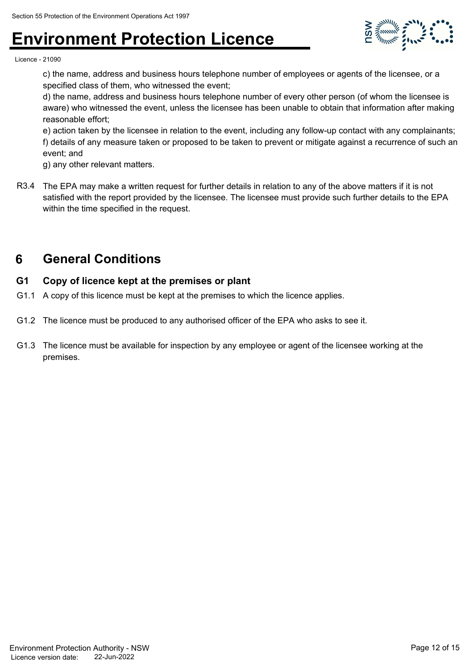

Licence - 21090

c) the name, address and business hours telephone number of employees or agents of the licensee, or a specified class of them, who witnessed the event;

d) the name, address and business hours telephone number of every other person (of whom the licensee is aware) who witnessed the event, unless the licensee has been unable to obtain that information after making reasonable effort;

e) action taken by the licensee in relation to the event, including any follow-up contact with any complainants; f) details of any measure taken or proposed to be taken to prevent or mitigate against a recurrence of such an event; and

g) any other relevant matters.

R3.4 The EPA may make a written request for further details in relation to any of the above matters if it is not satisfied with the report provided by the licensee. The licensee must provide such further details to the EPA within the time specified in the request.

## **6 General Conditions**

#### **G1 Copy of licence kept at the premises or plant**

- G1.1 A copy of this licence must be kept at the premises to which the licence applies.
- G1.2 The licence must be produced to any authorised officer of the EPA who asks to see it.
- G1.3 The licence must be available for inspection by any employee or agent of the licensee working at the premises.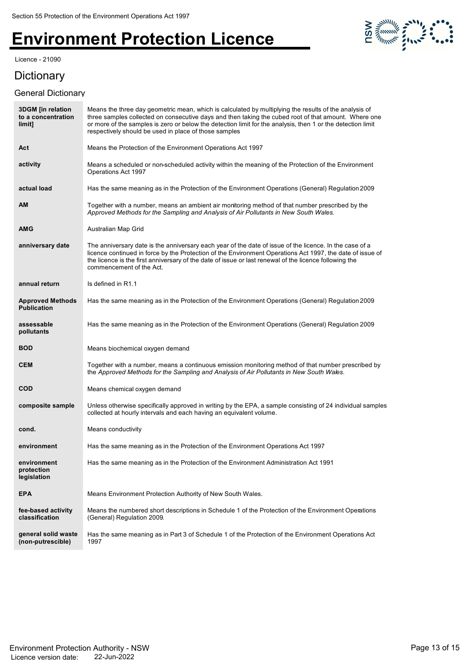Licence - 21090

# 

## **Dictionary**

#### General Dictionary

| <b>3DGM</b> [in relation<br>to a concentration<br>limit] | Means the three day geometric mean, which is calculated by multiplying the results of the analysis of<br>three samples collected on consecutive days and then taking the cubed root of that amount. Where one<br>or more of the samples is zero or below the detection limit for the analysis, then 1 or the detection limit<br>respectively should be used in place of those samples |
|----------------------------------------------------------|---------------------------------------------------------------------------------------------------------------------------------------------------------------------------------------------------------------------------------------------------------------------------------------------------------------------------------------------------------------------------------------|
| Act                                                      | Means the Protection of the Environment Operations Act 1997                                                                                                                                                                                                                                                                                                                           |
| activity                                                 | Means a scheduled or non-scheduled activity within the meaning of the Protection of the Environment<br>Operations Act 1997                                                                                                                                                                                                                                                            |
| actual load                                              | Has the same meaning as in the Protection of the Environment Operations (General) Regulation 2009                                                                                                                                                                                                                                                                                     |
| ΑM                                                       | Together with a number, means an ambient air monitoring method of that number prescribed by the<br>Approved Methods for the Sampling and Analysis of Air Pollutants in New South Wales.                                                                                                                                                                                               |
| AMG                                                      | Australian Map Grid                                                                                                                                                                                                                                                                                                                                                                   |
| anniversary date                                         | The anniversary date is the anniversary each year of the date of issue of the licence. In the case of a<br>licence continued in force by the Protection of the Environment Operations Act 1997, the date of issue of<br>the licence is the first anniversary of the date of issue or last renewal of the licence following the<br>commencement of the Act.                            |
| annual return                                            | Is defined in R1.1                                                                                                                                                                                                                                                                                                                                                                    |
| <b>Approved Methods</b><br><b>Publication</b>            | Has the same meaning as in the Protection of the Environment Operations (General) Regulation 2009                                                                                                                                                                                                                                                                                     |
| assessable<br>pollutants                                 | Has the same meaning as in the Protection of the Environment Operations (General) Regulation 2009                                                                                                                                                                                                                                                                                     |
| <b>BOD</b>                                               | Means biochemical oxygen demand                                                                                                                                                                                                                                                                                                                                                       |
| <b>CEM</b>                                               | Together with a number, means a continuous emission monitoring method of that number prescribed by<br>the Approved Methods for the Sampling and Analysis of Air Pollutants in New South Wales.                                                                                                                                                                                        |
| <b>COD</b>                                               | Means chemical oxygen demand                                                                                                                                                                                                                                                                                                                                                          |
| composite sample                                         | Unless otherwise specifically approved in writing by the EPA, a sample consisting of 24 individual samples<br>collected at hourly intervals and each having an equivalent volume.                                                                                                                                                                                                     |
| cond.                                                    | Means conductivity                                                                                                                                                                                                                                                                                                                                                                    |
| environment                                              | Has the same meaning as in the Protection of the Environment Operations Act 1997                                                                                                                                                                                                                                                                                                      |
| environment<br>protection<br>legislation                 | Has the same meaning as in the Protection of the Environment Administration Act 1991                                                                                                                                                                                                                                                                                                  |
| <b>EPA</b>                                               | Means Environment Protection Authority of New South Wales.                                                                                                                                                                                                                                                                                                                            |
| fee-based activity<br>classification                     | Means the numbered short descriptions in Schedule 1 of the Protection of the Environment Operations<br>(General) Regulation 2009.                                                                                                                                                                                                                                                     |
| general solid waste<br>(non-putrescible)                 | Has the same meaning as in Part 3 of Schedule 1 of the Protection of the Environment Operations Act<br>1997                                                                                                                                                                                                                                                                           |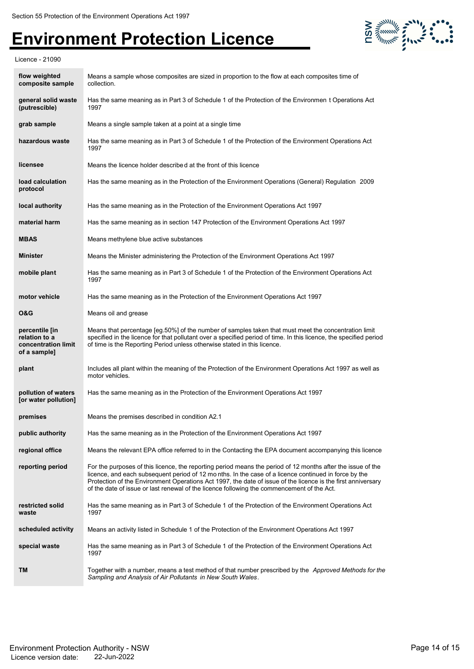



| flow weighted<br>composite sample                                      | Means a sample whose composites are sized in proportion to the flow at each composites time of<br>collection.                                                                                                                                                                                                                                                                                                                     |
|------------------------------------------------------------------------|-----------------------------------------------------------------------------------------------------------------------------------------------------------------------------------------------------------------------------------------------------------------------------------------------------------------------------------------------------------------------------------------------------------------------------------|
| general solid waste<br>(putrescible)                                   | Has the same meaning as in Part 3 of Schedule 1 of the Protection of the Environmen t Operations Act<br>1997                                                                                                                                                                                                                                                                                                                      |
| grab sample                                                            | Means a single sample taken at a point at a single time                                                                                                                                                                                                                                                                                                                                                                           |
| hazardous waste                                                        | Has the same meaning as in Part 3 of Schedule 1 of the Protection of the Environment Operations Act<br>1997                                                                                                                                                                                                                                                                                                                       |
| licensee                                                               | Means the licence holder described at the front of this licence                                                                                                                                                                                                                                                                                                                                                                   |
| load calculation<br>protocol                                           | Has the same meaning as in the Protection of the Environment Operations (General) Regulation 2009                                                                                                                                                                                                                                                                                                                                 |
| local authority                                                        | Has the same meaning as in the Protection of the Environment Operations Act 1997                                                                                                                                                                                                                                                                                                                                                  |
| material harm                                                          | Has the same meaning as in section 147 Protection of the Environment Operations Act 1997                                                                                                                                                                                                                                                                                                                                          |
| <b>MBAS</b>                                                            | Means methylene blue active substances                                                                                                                                                                                                                                                                                                                                                                                            |
| <b>Minister</b>                                                        | Means the Minister administering the Protection of the Environment Operations Act 1997                                                                                                                                                                                                                                                                                                                                            |
| mobile plant                                                           | Has the same meaning as in Part 3 of Schedule 1 of the Protection of the Environment Operations Act<br>1997                                                                                                                                                                                                                                                                                                                       |
| motor vehicle                                                          | Has the same meaning as in the Protection of the Environment Operations Act 1997                                                                                                                                                                                                                                                                                                                                                  |
| O&G                                                                    | Means oil and grease                                                                                                                                                                                                                                                                                                                                                                                                              |
| percentile [in<br>relation to a<br>concentration limit<br>of a sample] | Means that percentage [eg.50%] of the number of samples taken that must meet the concentration limit<br>specified in the licence for that pollutant over a specified period of time. In this licence, the specified period<br>of time is the Reporting Period unless otherwise stated in this licence.                                                                                                                            |
| plant                                                                  | Includes all plant within the meaning of the Protection of the Environment Operations Act 1997 as well as<br>motor vehicles.                                                                                                                                                                                                                                                                                                      |
| pollution of waters<br>[or water pollution]                            | Has the same meaning as in the Protection of the Environment Operations Act 1997                                                                                                                                                                                                                                                                                                                                                  |
| premises                                                               | Means the premises described in condition A2.1                                                                                                                                                                                                                                                                                                                                                                                    |
| public authority                                                       | Has the same meaning as in the Protection of the Environment Operations Act 1997                                                                                                                                                                                                                                                                                                                                                  |
| regional office                                                        | Means the relevant EPA office referred to in the Contacting the EPA document accompanying this licence                                                                                                                                                                                                                                                                                                                            |
| reporting period                                                       | For the purposes of this licence, the reporting period means the period of 12 months after the issue of the<br>licence, and each subsequent period of 12 months. In the case of a licence continued in force by the<br>Protection of the Environment Operations Act 1997, the date of issue of the licence is the first anniversary<br>of the date of issue or last renewal of the licence following the commencement of the Act. |
| restricted solid<br>waste                                              | Has the same meaning as in Part 3 of Schedule 1 of the Protection of the Environment Operations Act<br>1997                                                                                                                                                                                                                                                                                                                       |
| scheduled activity                                                     | Means an activity listed in Schedule 1 of the Protection of the Environment Operations Act 1997                                                                                                                                                                                                                                                                                                                                   |
| special waste                                                          | Has the same meaning as in Part 3 of Schedule 1 of the Protection of the Environment Operations Act<br>1997                                                                                                                                                                                                                                                                                                                       |
| TМ                                                                     | Together with a number, means a test method of that number prescribed by the <i>Approved Methods for the</i><br>Sampling and Analysis of Air Pollutants in New South Wales.                                                                                                                                                                                                                                                       |